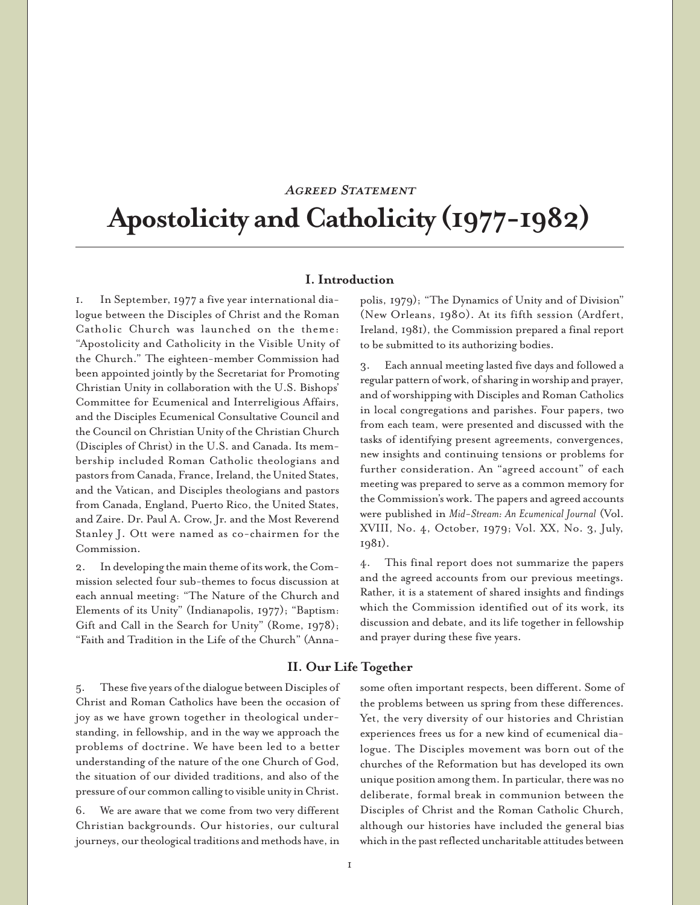# **AGREED STATEMENT**

# **Apostolicity and Catholicity (1977-1982)**

### **I. Introduction**

1. In September, 1977 a five year international dialogue between the Disciples of Christ and the Roman Catholic Church was launched on the theme: "Apostolicity and Catholicity in the Visible Unity of the Church." The eighteen-member Commission had been appointed jointly by the Secretariat for Promoting Christian Unity in collaboration with the U.S. Bishops' Committee for Ecumenical and Interreligious Affairs, and the Disciples Ecumenical Consultative Council and the Council on Christian Unity of the Christian Church (Disciples of Christ) in the U.S. and Canada. Its membership included Roman Catholic theologians and pastors from Canada, France, Ireland, the United States, and the Vatican, and Disciples theologians and pastors from Canada, England, Puerto Rico, the United States, and Zaire. Dr. Paul A. Crow, Jr. and the Most Reverend Stanley J. Ott were named as co-chairmen for the Commission.

2. In developing the main theme of its work, the Commission selected four sub-themes to focus discussion at each annual meeting: "The Nature of the Church and Elements of its Unity" (Indianapolis, 1977); "Baptism: Gift and Call in the Search for Unity" (Rome, 1978); "Faith and Tradition in the Life of the Church" (Anna-

5. These five years of the dialogue between Disciples of Christ and Roman Catholics have been the occasion of joy as we have grown together in theological understanding, in fellowship, and in the way we approach the problems of doctrine. We have been led to a better understanding of the nature of the one Church of God, the situation of our divided traditions, and also of the pressure of our common calling to visible unity in Christ.

6. We are aware that we come from two very different Christian backgrounds. Our histories, our cultural journeys, our theological traditions and methods have, in

polis, 1979); "The Dynamics of Unity and of Division" (New Orleans, 1980). At its fifth session (Ardfert, Ireland, 1981), the Commission prepared a final report to be submitted to its authorizing bodies.

3. Each annual meeting lasted five days and followed a regular pattern of work, of sharing in worship and prayer, and of worshipping with Disciples and Roman Catholics in local congregations and parishes. Four papers, two from each team, were presented and discussed with the tasks of identifying present agreements, convergences, new insights and continuing tensions or problems for further consideration. An "agreed account" of each meeting was prepared to serve as a common memory for the Commission's work. The papers and agreed accounts were published in *Mid-Stream: An Ecumenical Journal* (Vol. XVIII, No. 4, October, 1979; Vol. XX, No. 3, July, 1981).

4. This final report does not summarize the papers and the agreed accounts from our previous meetings. Rather, it is a statement of shared insights and findings which the Commission identified out of its work, its discussion and debate, and its life together in fellowship and prayer during these five years.

# **II. Our Life Together**

some often important respects, been different. Some of the problems between us spring from these differences. Yet, the very diversity of our histories and Christian experiences frees us for a new kind of ecumenical dialogue. The Disciples movement was born out of the churches of the Reformation but has developed its own unique position among them. In particular, there was no deliberate, formal break in communion between the Disciples of Christ and the Roman Catholic Church, although our histories have included the general bias which in the past reflected uncharitable attitudes between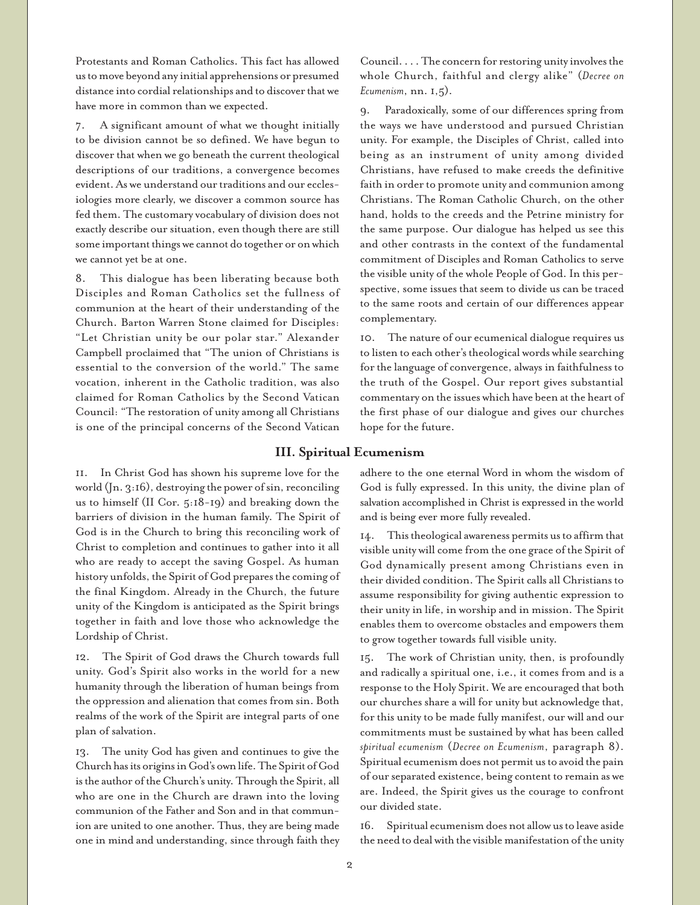Protestants and Roman Catholics. This fact has allowed us to move beyond any initial apprehensions or presumed distance into cordial relationships and to discover that we have more in common than we expected.

7. A significant amount of what we thought initially to be division cannot be so defined. We have begun to discover that when we go beneath the current theological descriptions of our traditions, a convergence becomes evident. As we understand our traditions and our ecclesiologies more clearly, we discover a common source has fed them. The customary vocabulary of division does not exactly describe our situation, even though there are still some important things we cannot do together or on which we cannot yet be at one.

8. This dialogue has been liberating because both Disciples and Roman Catholics set the fullness of communion at the heart of their understanding of the Church. Barton Warren Stone claimed for Disciples: "Let Christian unity be our polar star." Alexander Campbell proclaimed that "The union of Christians is essential to the conversion of the world." The same vocation, inherent in the Catholic tradition, was also claimed for Roman Catholics by the Second Vatican Council: "The restoration of unity among all Christians is one of the principal concerns of the Second Vatican

Council. . . . The concern for restoring unity involves the whole Church, faithful and clergy alike" (*Decree on Ecumenism*, nn. 1,5).

9. Paradoxically, some of our differences spring from the ways we have understood and pursued Christian unity. For example, the Disciples of Christ, called into being as an instrument of unity among divided Christians, have refused to make creeds the definitive faith in order to promote unity and communion among Christians. The Roman Catholic Church, on the other hand, holds to the creeds and the Petrine ministry for the same purpose. Our dialogue has helped us see this and other contrasts in the context of the fundamental commitment of Disciples and Roman Catholics to serve the visible unity of the whole People of God. In this perspective, some issues that seem to divide us can be traced to the same roots and certain of our differences appear complementary.

10. The nature of our ecumenical dialogue requires us to listen to each other's theological words while searching for the language of convergence, always in faithfulness to the truth of the Gospel. Our report gives substantial commentary on the issues which have been at the heart of the first phase of our dialogue and gives our churches hope for the future.

## **III. Spiritual Ecumenism**

In Christ God has shown his supreme love for the world (Jn. 3:16), destroying the power of sin, reconciling us to himself (II Cor. 5:18-19) and breaking down the barriers of division in the human family. The Spirit of God is in the Church to bring this reconciling work of Christ to completion and continues to gather into it all who are ready to accept the saving Gospel. As human history unfolds, the Spirit of God prepares the coming of the final Kingdom. Already in the Church, the future unity of the Kingdom is anticipated as the Spirit brings together in faith and love those who acknowledge the Lordship of Christ.

12. The Spirit of God draws the Church towards full unity. God's Spirit also works in the world for a new humanity through the liberation of human beings from the oppression and alienation that comes from sin. Both realms of the work of the Spirit are integral parts of one plan of salvation.

13. The unity God has given and continues to give the Church has its origins in God's own life. The Spirit of God is the author of the Church's unity. Through the Spirit, all who are one in the Church are drawn into the loving communion of the Father and Son and in that communion are united to one another. Thus, they are being made one in mind and understanding, since through faith they adhere to the one eternal Word in whom the wisdom of God is fully expressed. In this unity, the divine plan of salvation accomplished in Christ is expressed in the world and is being ever more fully revealed.

14. This theological awareness permits us to affirm that visible unity will come from the one grace of the Spirit of God dynamically present among Christians even in their divided condition. The Spirit calls all Christians to assume responsibility for giving authentic expression to their unity in life, in worship and in mission. The Spirit enables them to overcome obstacles and empowers them to grow together towards full visible unity.

15. The work of Christian unity, then, is profoundly and radically a spiritual one, i.e., it comes from and is a response to the Holy Spirit. We are encouraged that both our churches share a will for unity but acknowledge that, for this unity to be made fully manifest, our will and our commitments must be sustained by what has been called *spiritual ecumenism* (*Decree on Ecumenism*, paragraph 8). Spiritual ecumenism does not permit us to avoid the pain of our separated existence, being content to remain as we are. Indeed, the Spirit gives us the courage to confront our divided state.

16. Spiritual ecumenism does not allow us to leave aside the need to deal with the visible manifestation of the unity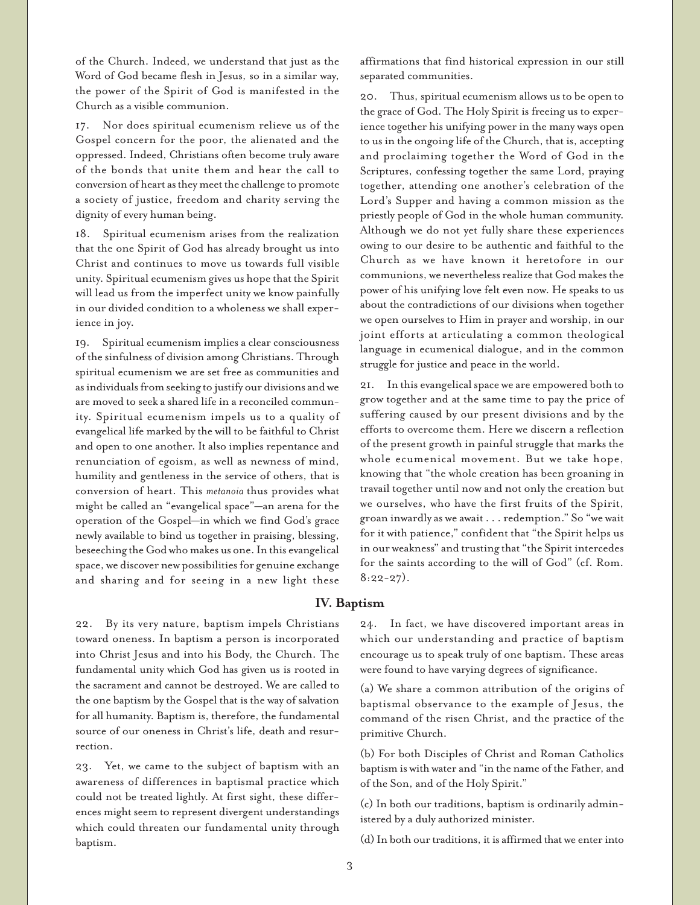of the Church. Indeed, we understand that just as the Word of God became flesh in Jesus, so in a similar way, the power of the Spirit of God is manifested in the Church as a visible communion.

17. Nor does spiritual ecumenism relieve us of the Gospel concern for the poor, the alienated and the oppressed. Indeed, Christians often become truly aware of the bonds that unite them and hear the call to conversion of heart as they meet the challenge to promote a society of justice, freedom and charity serving the dignity of every human being.

18. Spiritual ecumenism arises from the realization that the one Spirit of God has already brought us into Christ and continues to move us towards full visible unity. Spiritual ecumenism gives us hope that the Spirit will lead us from the imperfect unity we know painfully in our divided condition to a wholeness we shall experience in joy.

19. Spiritual ecumenism implies a clear consciousness of the sinfulness of division among Christians. Through spiritual ecumenism we are set free as communities and as individuals from seeking to justify our divisions and we are moved to seek a shared life in a reconciled community. Spiritual ecumenism impels us to a quality of evangelical life marked by the will to be faithful to Christ and open to one another. It also implies repentance and renunciation of egoism, as well as newness of mind, humility and gentleness in the service of others, that is conversion of heart. This *metanoia* thus provides what might be called an "evangelical space"—an arena for the operation of the Gospel—in which we find God's grace newly available to bind us together in praising, blessing, beseeching the God who makes us one. In this evangelical space, we discover new possibilities for genuine exchange and sharing and for seeing in a new light these

affirmations that find historical expression in our still separated communities.

20. Thus, spiritual ecumenism allows us to be open to the grace of God. The Holy Spirit is freeing us to experience together his unifying power in the many ways open to us in the ongoing life of the Church, that is, accepting and proclaiming together the Word of God in the Scriptures, confessing together the same Lord, praying together, attending one another's celebration of the Lord's Supper and having a common mission as the priestly people of God in the whole human community. Although we do not yet fully share these experiences owing to our desire to be authentic and faithful to the Church as we have known it heretofore in our communions, we nevertheless realize that God makes the power of his unifying love felt even now. He speaks to us about the contradictions of our divisions when together we open ourselves to Him in prayer and worship, in our joint efforts at articulating a common theological language in ecumenical dialogue, and in the common struggle for justice and peace in the world.

21. In this evangelical space we are empowered both to grow together and at the same time to pay the price of suffering caused by our present divisions and by the efforts to overcome them. Here we discern a reflection of the present growth in painful struggle that marks the whole ecumenical movement. But we take hope, knowing that "the whole creation has been groaning in travail together until now and not only the creation but we ourselves, who have the first fruits of the Spirit, groan inwardly as we await . . . redemption." So "we wait for it with patience," confident that "the Spirit helps us in our weakness" and trusting that "the Spirit intercedes for the saints according to the will of God" (cf. Rom.  $8:22-27$ ).

#### **IV. Baptism**

22. By its very nature, baptism impels Christians toward oneness. In baptism a person is incorporated into Christ Jesus and into his Body, the Church. The fundamental unity which God has given us is rooted in the sacrament and cannot be destroyed. We are called to the one baptism by the Gospel that is the way of salvation for all humanity. Baptism is, therefore, the fundamental source of our oneness in Christ's life, death and resurrection.

23. Yet, we came to the subject of baptism with an awareness of differences in baptismal practice which could not be treated lightly. At first sight, these differences might seem to represent divergent understandings which could threaten our fundamental unity through baptism.

24. In fact, we have discovered important areas in which our understanding and practice of baptism encourage us to speak truly of one baptism. These areas were found to have varying degrees of significance.

(a) We share a common attribution of the origins of baptismal observance to the example of Jesus, the command of the risen Christ, and the practice of the primitive Church.

(b) For both Disciples of Christ and Roman Catholics baptism is with water and "in the name of the Father, and of the Son, and of the Holy Spirit."

(c) In both our traditions, baptism is ordinarily administered by a duly authorized minister.

(d) In both our traditions, it is affirmed that we enter into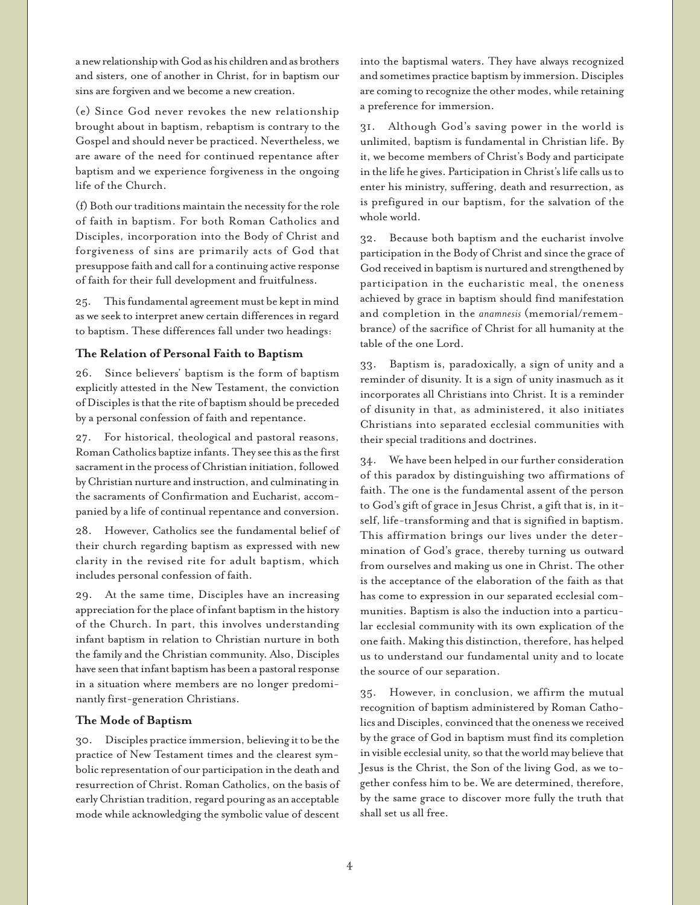a new relationship with God as his children and as brothers and sisters, one of another in Christ, for in baptism our sins are forgiven and we become a new creation.

(e) Since God never revokes the new relationship brought about in baptism, rebaptism is contrary to the Gospel and should never be practiced. Nevertheless, we are aware of the need for continued repentance after baptism and we experience forgiveness in the ongoing life of the Church.

(f) Both our traditions maintain the necessity for the role of faith in baptism. For both Roman Catholics and Disciples, incorporation into the Body of Christ and forgiveness of sins are primarily acts of God that presuppose faith and call for a continuing active response of faith for their full development and fruitfulness.

25. This fundamental agreement must be kept in mind as we seek to interpret anew certain differences in regard to baptism. These differences fall under two headings:

#### **The Relation of Personal Faith to Baptism**

26. Since believers' baptism is the form of baptism explicitly attested in the New Testament, the conviction of Disciples is that the rite of baptism should be preceded by a personal confession of faith and repentance.

27. For historical, theological and pastoral reasons, Roman Catholics baptize infants. They see this as the first sacrament in the process of Christian initiation, followed by Christian nurture and instruction, and culminating in the sacraments of Confirmation and Eucharist, accompanied by a life of continual repentance and conversion.

28. However, Catholics see the fundamental belief of their church regarding baptism as expressed with new clarity in the revised rite for adult baptism, which includes personal confession of faith.

29. At the same time, Disciples have an increasing appreciation for the place of infant baptism in the history of the Church. In part, this involves understanding infant baptism in relation to Christian nurture in both the family and the Christian community. Also, Disciples have seen that infant baptism has been a pastoral response in a situation where members are no longer predominantly first-generation Christians.

# **The Mode of Baptism**

30. Disciples practice immersion, believing it to be the practice of New Testament times and the clearest symbolic representation of our participation in the death and resurrection of Christ. Roman Catholics, on the basis of early Christian tradition, regard pouring as an acceptable mode while acknowledging the symbolic value of descent

into the baptismal waters. They have always recognized and sometimes practice baptism by immersion. Disciples are coming to recognize the other modes, while retaining a preference for immersion.

31. Although God's saving power in the world is unlimited, baptism is fundamental in Christian life. By it, we become members of Christ's Body and participate in the life he gives. Participation in Christ's life calls us to enter his ministry, suffering, death and resurrection, as is prefigured in our baptism, for the salvation of the whole world.

32. Because both baptism and the eucharist involve participation in the Body of Christ and since the grace of God received in baptism is nurtured and strengthened by participation in the eucharistic meal, the oneness achieved by grace in baptism should find manifestation and completion in the *anamnesis* (memorial/remembrance) of the sacrifice of Christ for all humanity at the table of the one Lord.

33. Baptism is, paradoxically, a sign of unity and a reminder of disunity. It is a sign of unity inasmuch as it incorporates all Christians into Christ. It is a reminder of disunity in that, as administered, it also initiates Christians into separated ecclesial communities with their special traditions and doctrines.

34. We have been helped in our further consideration of this paradox by distinguishing two affirmations of faith. The one is the fundamental assent of the person to God's gift of grace in Jesus Christ, a gift that is, in itself, life-transforming and that is signified in baptism. This affirmation brings our lives under the determination of God's grace, thereby turning us outward from ourselves and making us one in Christ. The other is the acceptance of the elaboration of the faith as that has come to expression in our separated ecclesial communities. Baptism is also the induction into a particular ecclesial community with its own explication of the one faith. Making this distinction, therefore, has helped us to understand our fundamental unity and to locate the source of our separation.

35. However, in conclusion, we affirm the mutual recognition of baptism administered by Roman Catholics and Disciples, convinced that the oneness we received by the grace of God in baptism must find its completion in visible ecclesial unity, so that the world may believe that Jesus is the Christ, the Son of the living God, as we together confess him to be. We are determined, therefore, by the same grace to discover more fully the truth that shall set us all free.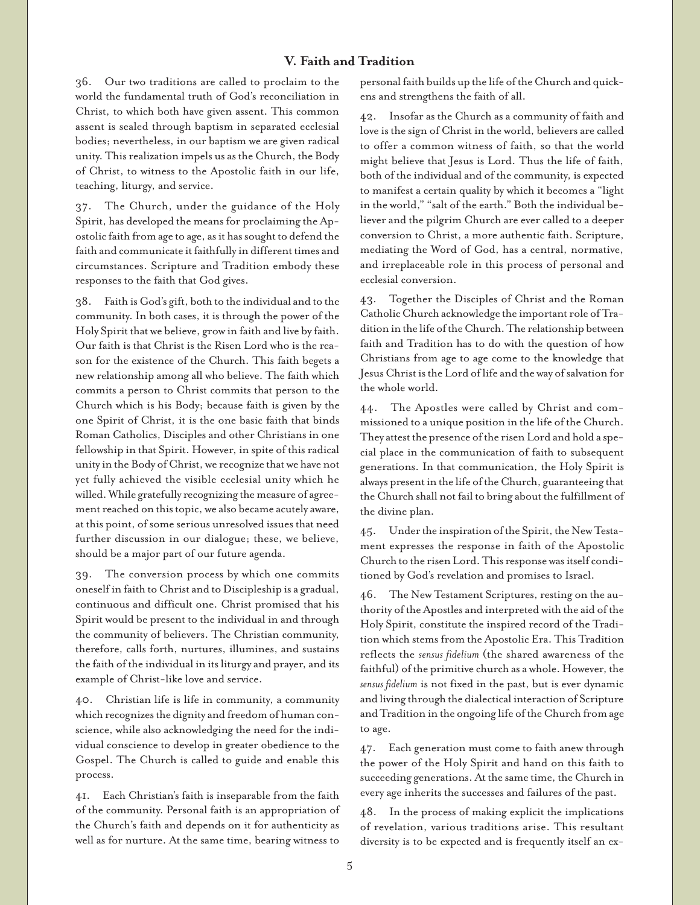# **V. Faith and Tradition**

36. Our two traditions are called to proclaim to the world the fundamental truth of God's reconciliation in Christ, to which both have given assent. This common assent is sealed through baptism in separated ecclesial bodies; nevertheless, in our baptism we are given radical unity. This realization impels us as the Church, the Body of Christ, to witness to the Apostolic faith in our life, teaching, liturgy, and service.

37. The Church, under the guidance of the Holy Spirit, has developed the means for proclaiming the Apostolic faith from age to age, as it has sought to defend the faith and communicate it faithfully in different times and circumstances. Scripture and Tradition embody these responses to the faith that God gives.

38. Faith is God's gift, both to the individual and to the community. In both cases, it is through the power of the Holy Spirit that we believe, grow in faith and live by faith. Our faith is that Christ is the Risen Lord who is the reason for the existence of the Church. This faith begets a new relationship among all who believe. The faith which commits a person to Christ commits that person to the Church which is his Body; because faith is given by the one Spirit of Christ, it is the one basic faith that binds Roman Catholics, Disciples and other Christians in one fellowship in that Spirit. However, in spite of this radical unity in the Body of Christ, we recognize that we have not yet fully achieved the visible ecclesial unity which he willed. While gratefully recognizing the measure of agreement reached on this topic, we also became acutely aware, at this point, of some serious unresolved issues that need further discussion in our dialogue; these, we believe, should be a major part of our future agenda.

39. The conversion process by which one commits oneself in faith to Christ and to Discipleship is a gradual, continuous and difficult one. Christ promised that his Spirit would be present to the individual in and through the community of believers. The Christian community, therefore, calls forth, nurtures, illumines, and sustains the faith of the individual in its liturgy and prayer, and its example of Christ-like love and service.

40. Christian life is life in community, a community which recognizes the dignity and freedom of human conscience, while also acknowledging the need for the individual conscience to develop in greater obedience to the Gospel. The Church is called to guide and enable this process.

41. Each Christian's faith is inseparable from the faith of the community. Personal faith is an appropriation of the Church's faith and depends on it for authenticity as well as for nurture. At the same time, bearing witness to

personal faith builds up the life of the Church and quickens and strengthens the faith of all.

42. Insofar as the Church as a community of faith and love is the sign of Christ in the world, believers are called to offer a common witness of faith, so that the world might believe that Jesus is Lord. Thus the life of faith, both of the individual and of the community, is expected to manifest a certain quality by which it becomes a "light in the world," "salt of the earth." Both the individual believer and the pilgrim Church are ever called to a deeper conversion to Christ, a more authentic faith. Scripture, mediating the Word of God, has a central, normative, and irreplaceable role in this process of personal and ecclesial conversion.

43. Together the Disciples of Christ and the Roman Catholic Church acknowledge the important role of Tradition in the life of the Church. The relationship between faith and Tradition has to do with the question of how Christians from age to age come to the knowledge that Jesus Christ is the Lord of life and the way of salvation for the whole world.

44. The Apostles were called by Christ and commissioned to a unique position in the life of the Church. They attest the presence of the risen Lord and hold a special place in the communication of faith to subsequent generations. In that communication, the Holy Spirit is always present in the life of the Church, guaranteeing that the Church shall not fail to bring about the fulfillment of the divine plan.

45. Under the inspiration of the Spirit, the New Testament expresses the response in faith of the Apostolic Church to the risen Lord. This response was itself conditioned by God's revelation and promises to Israel.

46. The New Testament Scriptures, resting on the authority of the Apostles and interpreted with the aid of the Holy Spirit, constitute the inspired record of the Tradition which stems from the Apostolic Era. This Tradition reflects the *sensus fidelium* (the shared awareness of the faithful) of the primitive church as a whole. However, the *sensus fidelium* is not fixed in the past, but is ever dynamic and living through the dialectical interaction of Scripture and Tradition in the ongoing life of the Church from age to age.

47. Each generation must come to faith anew through the power of the Holy Spirit and hand on this faith to succeeding generations. At the same time, the Church in every age inherits the successes and failures of the past.

48. In the process of making explicit the implications of revelation, various traditions arise. This resultant diversity is to be expected and is frequently itself an ex-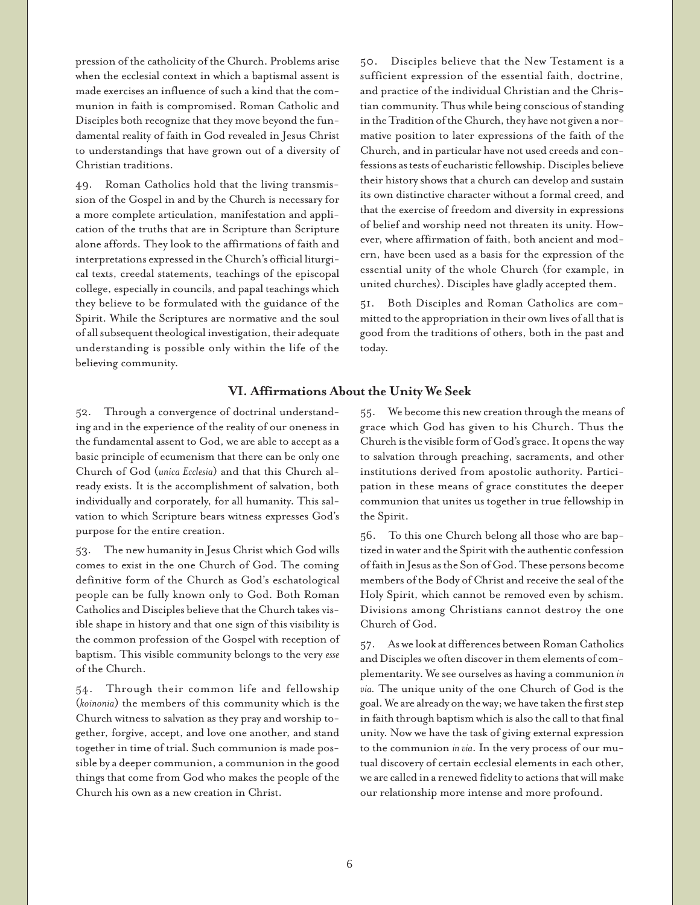pression of the catholicity of the Church. Problems arise when the ecclesial context in which a baptismal assent is made exercises an influence of such a kind that the communion in faith is compromised. Roman Catholic and Disciples both recognize that they move beyond the fundamental reality of faith in God revealed in Jesus Christ to understandings that have grown out of a diversity of Christian traditions.

49. Roman Catholics hold that the living transmission of the Gospel in and by the Church is necessary for a more complete articulation, manifestation and application of the truths that are in Scripture than Scripture alone affords. They look to the affirmations of faith and interpretations expressed in the Church's official liturgical texts, creedal statements, teachings of the episcopal college, especially in councils, and papal teachings which they believe to be formulated with the guidance of the Spirit. While the Scriptures are normative and the soul of all subsequent theological investigation, their adequate understanding is possible only within the life of the believing community.

50. Disciples believe that the New Testament is a sufficient expression of the essential faith, doctrine, and practice of the individual Christian and the Christian community. Thus while being conscious of standing in the Tradition of the Church, they have not given a normative position to later expressions of the faith of the Church, and in particular have not used creeds and confessions as tests of eucharistic fellowship. Disciples believe their history shows that a church can develop and sustain its own distinctive character without a formal creed, and that the exercise of freedom and diversity in expressions of belief and worship need not threaten its unity. However, where affirmation of faith, both ancient and modern, have been used as a basis for the expression of the essential unity of the whole Church (for example, in united churches). Disciples have gladly accepted them.

51. Both Disciples and Roman Catholics are committed to the appropriation in their own lives of all that is good from the traditions of others, both in the past and today.

#### **VI. Affirmations About the Unity We Seek**

52. Through a convergence of doctrinal understanding and in the experience of the reality of our oneness in the fundamental assent to God, we are able to accept as a basic principle of ecumenism that there can be only one Church of God (*unica Ecclesia*) and that this Church already exists. It is the accomplishment of salvation, both individually and corporately, for all humanity. This salvation to which Scripture bears witness expresses God's purpose for the entire creation.

53. The new humanity in Jesus Christ which God wills comes to exist in the one Church of God. The coming definitive form of the Church as God's eschatological people can be fully known only to God. Both Roman Catholics and Disciples believe that the Church takes visible shape in history and that one sign of this visibility is the common profession of the Gospel with reception of baptism. This visible community belongs to the very *esse* of the Church.

54. Through their common life and fellowship (*koinonia*) the members of this community which is the Church witness to salvation as they pray and worship together, forgive, accept, and love one another, and stand together in time of trial. Such communion is made possible by a deeper communion, a communion in the good things that come from God who makes the people of the Church his own as a new creation in Christ.

55. We become this new creation through the means of grace which God has given to his Church. Thus the Church is the visible form of God's grace. It opens the way to salvation through preaching, sacraments, and other institutions derived from apostolic authority. Participation in these means of grace constitutes the deeper communion that unites us together in true fellowship in the Spirit.

56. To this one Church belong all those who are baptized in water and the Spirit with the authentic confession of faith in Jesus as the Son of God. These persons become members of the Body of Christ and receive the seal of the Holy Spirit, which cannot be removed even by schism. Divisions among Christians cannot destroy the one Church of God.

57. As we look at differences between Roman Catholics and Disciples we often discover in them elements of complementarity. We see ourselves as having a communion *in via.* The unique unity of the one Church of God is the goal. We are already on the way; we have taken the first step in faith through baptism which is also the call to that final unity. Now we have the task of giving external expression to the communion *in via*. In the very process of our mutual discovery of certain ecclesial elements in each other, we are called in a renewed fidelity to actions that will make our relationship more intense and more profound.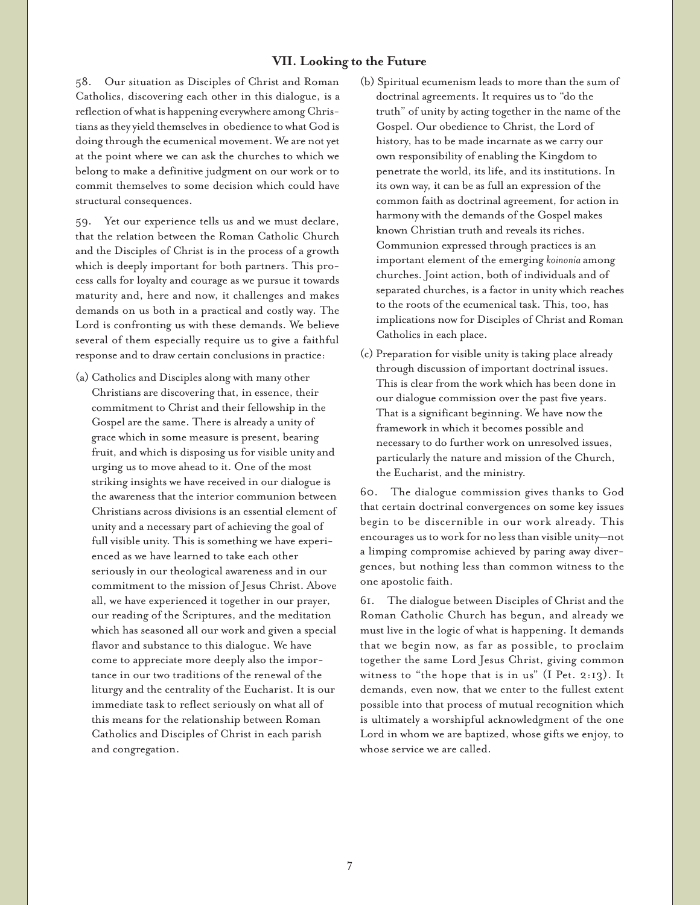# **VII. Looking to the Future**

58. Our situation as Disciples of Christ and Roman Catholics, discovering each other in this dialogue, is a reflection of what is happening everywhere among Christians as they yield themselves in obedience to what God is doing through the ecumenical movement. We are not yet at the point where we can ask the churches to which we belong to make a definitive judgment on our work or to commit themselves to some decision which could have structural consequences.

59. Yet our experience tells us and we must declare, that the relation between the Roman Catholic Church and the Disciples of Christ is in the process of a growth which is deeply important for both partners. This process calls for loyalty and courage as we pursue it towards maturity and, here and now, it challenges and makes demands on us both in a practical and costly way. The Lord is confronting us with these demands. We believe several of them especially require us to give a faithful response and to draw certain conclusions in practice:

- (a) Catholics and Disciples along with many other Christians are discovering that, in essence, their commitment to Christ and their fellowship in the Gospel are the same. There is already a unity of grace which in some measure is present, bearing fruit, and which is disposing us for visible unity and urging us to move ahead to it. One of the most striking insights we have received in our dialogue is the awareness that the interior communion between Christians across divisions is an essential element of unity and a necessary part of achieving the goal of full visible unity. This is something we have experienced as we have learned to take each other seriously in our theological awareness and in our commitment to the mission of Jesus Christ. Above all, we have experienced it together in our prayer, our reading of the Scriptures, and the meditation which has seasoned all our work and given a special flavor and substance to this dialogue. We have come to appreciate more deeply also the importance in our two traditions of the renewal of the liturgy and the centrality of the Eucharist. It is our immediate task to reflect seriously on what all of this means for the relationship between Roman Catholics and Disciples of Christ in each parish and congregation.
- (b) Spiritual ecumenism leads to more than the sum of doctrinal agreements. It requires us to "do the truth" of unity by acting together in the name of the Gospel. Our obedience to Christ, the Lord of history, has to be made incarnate as we carry our own responsibility of enabling the Kingdom to penetrate the world, its life, and its institutions. In its own way, it can be as full an expression of the common faith as doctrinal agreement, for action in harmony with the demands of the Gospel makes known Christian truth and reveals its riches. Communion expressed through practices is an important element of the emerging *koinonia* among churches. Joint action, both of individuals and of separated churches, is a factor in unity which reaches to the roots of the ecumenical task. This, too, has implications now for Disciples of Christ and Roman Catholics in each place.
- (c) Preparation for visible unity is taking place already through discussion of important doctrinal issues. This is clear from the work which has been done in our dialogue commission over the past five years. That is a significant beginning. We have now the framework in which it becomes possible and necessary to do further work on unresolved issues, particularly the nature and mission of the Church, the Eucharist, and the ministry.

60. The dialogue commission gives thanks to God that certain doctrinal convergences on some key issues begin to be discernible in our work already. This encourages us to work for no less than visible unity—not a limping compromise achieved by paring away divergences, but nothing less than common witness to the one apostolic faith.

61. The dialogue between Disciples of Christ and the Roman Catholic Church has begun, and already we must live in the logic of what is happening. It demands that we begin now, as far as possible, to proclaim together the same Lord Jesus Christ, giving common witness to "the hope that is in us" (I Pet. 2:13). It demands, even now, that we enter to the fullest extent possible into that process of mutual recognition which is ultimately a worshipful acknowledgment of the one Lord in whom we are baptized, whose gifts we enjoy, to whose service we are called.